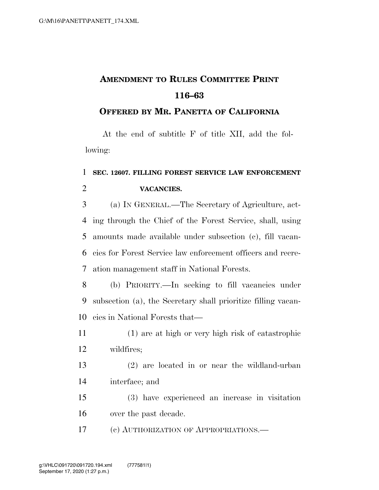## **AMENDMENT TO RULES COMMITTEE PRINT 116–63**

## **OFFERED BY MR. PANETTA OF CALIFORNIA**

At the end of subtitle F of title XII, add the following:

## **SEC. 12607. FILLING FOREST SERVICE LAW ENFORCEMENT VACANCIES.**

 (a) IN GENERAL.—The Secretary of Agriculture, act- ing through the Chief of the Forest Service, shall, using amounts made available under subsection (c), fill vacan- cies for Forest Service law enforcement officers and recre-ation management staff in National Forests.

 (b) PRIORITY.—In seeking to fill vacancies under subsection (a), the Secretary shall prioritize filling vacan-cies in National Forests that—

 (1) are at high or very high risk of catastrophic wildfires;

 (2) are located in or near the wildland-urban interface; and

 (3) have experienced an increase in visitation over the past decade.

(c) AUTHORIZATION OF APPROPRIATIONS.—